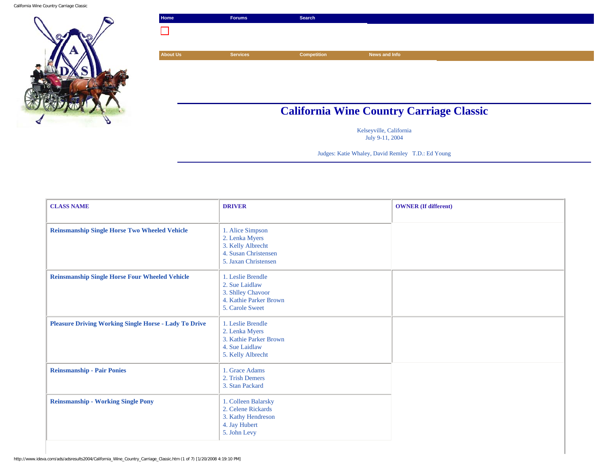California Wine Country Carriage Classic



| Home            | <b>Forums</b>   | Search             |                                                 |  |
|-----------------|-----------------|--------------------|-------------------------------------------------|--|
|                 |                 |                    |                                                 |  |
|                 |                 |                    |                                                 |  |
| <b>About Us</b> | <b>Services</b> | <b>Competition</b> | News and Info                                   |  |
|                 |                 |                    |                                                 |  |
|                 |                 |                    |                                                 |  |
|                 |                 |                    |                                                 |  |
|                 |                 |                    |                                                 |  |
|                 |                 |                    | <b>California Wine Country Carriage Classic</b> |  |

Kelseyville, California July 9-11, 2004

Judges: Katie Whaley, David Remley T.D.: Ed Young

| <b>CLASS NAME</b>                                            | <b>DRIVER</b>                                                                                           | <b>OWNER</b> (If different) |
|--------------------------------------------------------------|---------------------------------------------------------------------------------------------------------|-----------------------------|
| <b>Reinsmanship Single Horse Two Wheeled Vehicle</b>         | 1. Alice Simpson<br>2. Lenka Myers<br>3. Kelly Albrecht<br>4. Susan Christensen<br>5. Jaxan Christensen |                             |
| <b>Reinsmanship Single Horse Four Wheeled Vehicle</b>        | 1. Leslie Brendle<br>2. Sue Laidlaw<br>3. Shlley Chavoor<br>4. Kathie Parker Brown<br>5. Carole Sweet   |                             |
| <b>Pleasure Driving Working Single Horse - Lady To Drive</b> | 1. Leslie Brendle<br>2. Lenka Myers<br>3. Kathie Parker Brown<br>4. Sue Laidlaw<br>5. Kelly Albrecht    |                             |
| <b>Reinsmanship - Pair Ponies</b>                            | 1. Grace Adams<br>2. Trish Demers<br>3. Stan Packard                                                    |                             |
| <b>Reinsmanship - Working Single Pony</b>                    | 1. Colleen Balarsky<br>2. Celene Rickards<br>3. Kathy Hendreson<br>4. Jay Hubert<br>5. John Levy        |                             |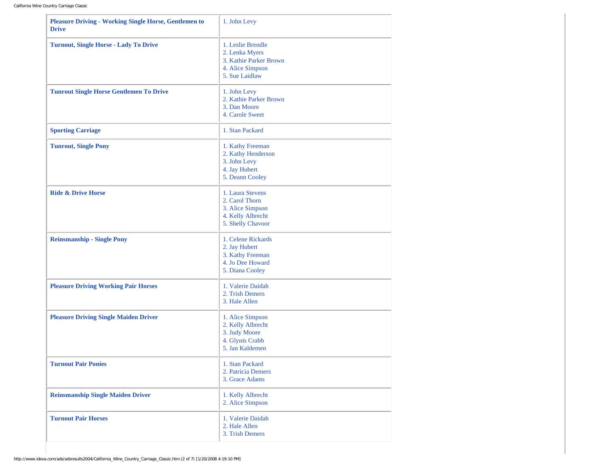| <b>Pleasure Driving - Working Single Horse, Gentlemen to</b><br><b>Drive</b> | 1. John Levy                                                                                        |
|------------------------------------------------------------------------------|-----------------------------------------------------------------------------------------------------|
| <b>Turnout, Single Horse - Lady To Drive</b>                                 | 1. Leslie Brendle<br>2. Lenka Myers<br>3. Kathie Parker Brown<br>4. Alice Simpson<br>5. Sue Laidlaw |
| <b>Tunrout Single Horse Gentlemen To Drive</b>                               | 1. John Levy<br>2. Kathie Parker Brown<br>3. Dan Moore<br>4. Carole Sweet                           |
| <b>Sporting Carriage</b>                                                     | 1. Stan Packard                                                                                     |
| <b>Tunrout, Single Pony</b>                                                  | 1. Kathy Freeman<br>2. Kathy Henderson<br>3. John Levy<br>4. Jay Hubert<br>5. Deann Cooley          |
| <b>Ride &amp; Drive Horse</b>                                                | 1. Laura Stevens<br>2. Carol Thorn<br>3. Alice Simpson<br>4. Kelly Albrecht<br>5. Shelly Chavoor    |
| <b>Reinsmanship - Single Pony</b>                                            | 1. Celene Rickards<br>2. Jay Hubert<br>3. Kathy Freeman<br>4. Jo Dee Howard<br>5. Diana Cooley      |
| <b>Pleasure Driving Working Pair Horses</b>                                  | 1. Valerie Daidah<br>2. Trish Demers<br>3. Hale Allen                                               |
| <b>Pleasure Driving Single Maiden Driver</b>                                 | 1. Alice Simpson<br>2. Kelly Albrecht<br>3. Judy Moore<br>4. Glynis Crabb<br>5. Jan Kaldemen        |
| <b>Turnout Pair Ponies</b>                                                   | 1. Stan Packard<br>2. Patricia Demers<br>3. Grace Adams                                             |
| <b>Reinsmanship Single Maiden Driver</b>                                     | 1. Kelly Albrecht<br>2. Alice Simpson                                                               |
| <b>Turnout Pair Horses</b>                                                   | 1. Valerie Daidah<br>2. Hale Allen<br>3. Trish Demers                                               |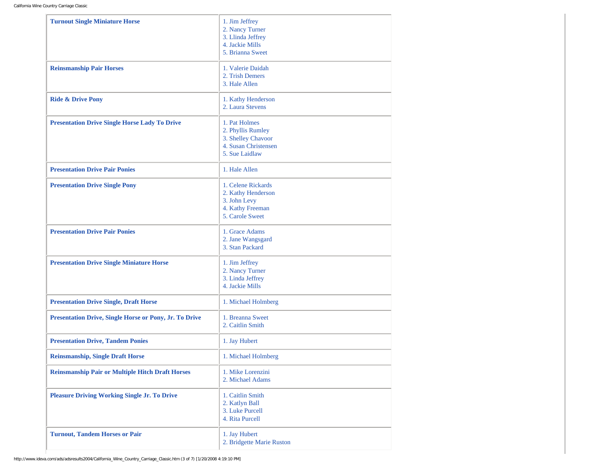| <b>Turnout Single Miniature Horse</b><br><b>Reinsmanship Pair Horses</b> | 1. Jim Jeffrey<br>2. Nancy Turner<br>3. Llinda Jeffrey<br>4. Jackie Mills<br>5. Brianna Sweet<br>1. Valerie Daidah<br>2. Trish Demers<br>3. Hale Allen |
|--------------------------------------------------------------------------|--------------------------------------------------------------------------------------------------------------------------------------------------------|
| <b>Ride &amp; Drive Pony</b>                                             | 1. Kathy Henderson<br>2. Laura Stevens                                                                                                                 |
| <b>Presentation Drive Single Horse Lady To Drive</b>                     | 1. Pat Holmes<br>2. Phyllis Rumley<br>3. Shelley Chavoor<br>4. Susan Christensen<br>5. Sue Laidlaw                                                     |
| <b>Presentation Drive Pair Ponies</b>                                    | 1. Hale Allen                                                                                                                                          |
| <b>Presentation Drive Single Pony</b>                                    | 1. Celene Rickards<br>2. Kathy Henderson<br>3. John Levy<br>4. Kathy Freeman<br>5. Carole Sweet                                                        |
| <b>Presentation Drive Pair Ponies</b>                                    | 1. Grace Adams<br>2. Jane Wangsgard<br>3. Stan Packard                                                                                                 |
| <b>Presentation Drive Single Miniature Horse</b>                         | 1. Jim Jeffrey<br>2. Nancy Turner<br>3. Linda Jeffrey<br>4. Jackie Mills                                                                               |
| <b>Presentation Drive Single, Draft Horse</b>                            | 1. Michael Holmberg                                                                                                                                    |
| Presentation Drive, Single Horse or Pony, Jr. To Drive                   | 1. Breanna Sweet<br>2. Caitlin Smith                                                                                                                   |
| <b>Presentation Drive, Tandem Ponies</b>                                 | 1. Jay Hubert                                                                                                                                          |
| <b>Reinsmanship, Single Draft Horse</b>                                  | 1. Michael Holmberg                                                                                                                                    |
| <b>Reinsmanship Pair or Multiple Hitch Draft Horses</b>                  | 1. Mike Lorenzini<br>2. Michael Adams                                                                                                                  |
| <b>Pleasure Driving Working Single Jr. To Drive</b>                      | 1. Caitlin Smith<br>2. Katlyn Ball<br>3. Luke Purcell<br>4. Rita Purcell                                                                               |
| <b>Turnout, Tandem Horses or Pair</b>                                    | 1. Jay Hubert<br>2. Bridgette Marie Ruston                                                                                                             |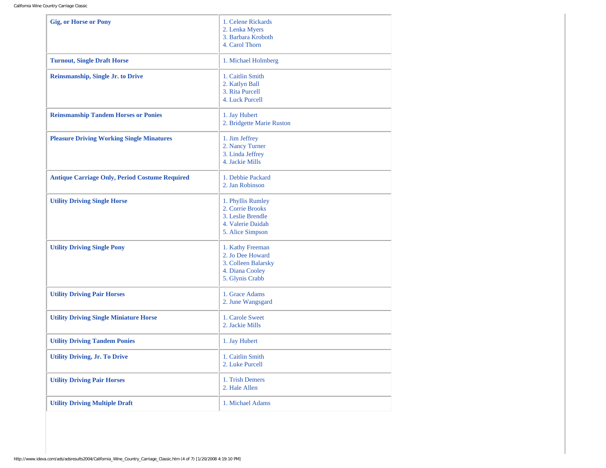| <b>Gig, or Horse or Pony</b>                          | 1. Celene Rickards<br>2. Lenka Myers<br>3. Barbara Kroboth<br>4. Carol Thorn                        |
|-------------------------------------------------------|-----------------------------------------------------------------------------------------------------|
| <b>Turnout, Single Draft Horse</b>                    | 1. Michael Holmberg                                                                                 |
| <b>Reinsmanship, Single Jr. to Drive</b>              | 1. Caitlin Smith<br>2. Katlyn Ball<br>3. Rita Purcell<br>4. Luck Purcell                            |
| <b>Reinsmanship Tandem Horses or Ponies</b>           | 1. Jay Hubert<br>2. Bridgette Marie Ruston                                                          |
| <b>Pleasure Driving Working Single Minatures</b>      | 1. Jim Jeffrey<br>2. Nancy Turner<br>3. Linda Jeffrey<br>4. Jackie Mills                            |
| <b>Antique Carriage Only, Period Costume Required</b> | 1. Debbie Packard<br>2. Jan Robinson                                                                |
| <b>Utility Driving Single Horse</b>                   | 1. Phyllis Rumley<br>2. Corrie Brooks<br>3. Leslie Brendle<br>4. Valerie Daidah<br>5. Alice Simpson |
| <b>Utility Driving Single Pony</b>                    | 1. Kathy Freeman<br>2. Jo Dee Howard<br>3. Colleen Balarsky<br>4. Diana Cooley<br>5. Glynis Crabb   |
| <b>Utility Driving Pair Horses</b>                    | 1. Grace Adams<br>2. June Wangsgard                                                                 |
| <b>Utility Driving Single Miniature Horse</b>         | 1. Carole Sweet<br>2. Jackie Mills                                                                  |
| <b>Utility Driving Tandem Ponies</b>                  | 1. Jay Hubert                                                                                       |
| <b>Utility Driving, Jr. To Drive</b>                  | 1. Caitlin Smith<br>2. Luke Purcell                                                                 |
| <b>Utility Driving Pair Horses</b>                    | 1. Trish Demers<br>2. Hale Allen                                                                    |
| <b>Utility Driving Multiple Draft</b>                 | 1. Michael Adams                                                                                    |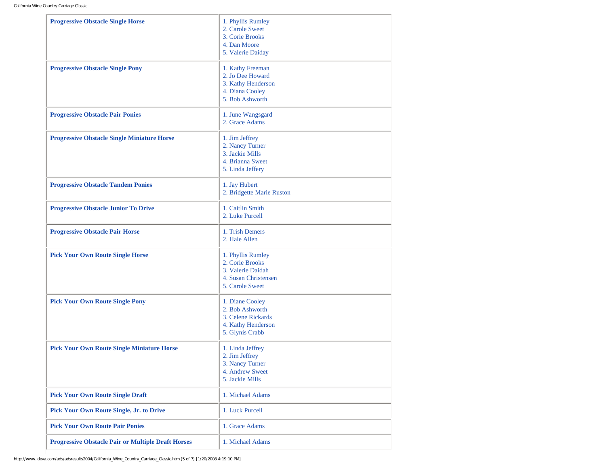| <b>Progressive Obstacle Single Horse</b>                  | 1. Phyllis Rumley<br>2. Carole Sweet<br>3. Corie Brooks<br>4. Dan Moore<br>5. Valerie Daiday         |
|-----------------------------------------------------------|------------------------------------------------------------------------------------------------------|
| <b>Progressive Obstacle Single Pony</b>                   | 1. Kathy Freeman<br>2. Jo Dee Howard<br>3. Kathy Henderson<br>4. Diana Cooley<br>5. Bob Ashworth     |
| <b>Progressive Obstacle Pair Ponies</b>                   | 1. June Wangsgard<br>2. Grace Adams                                                                  |
| <b>Progressive Obstacle Single Miniature Horse</b>        | 1. Jim Jeffrey<br>2. Nancy Turner<br>3. Jackie Mills<br>4. Brianna Sweet<br>5. Linda Jeffery         |
| <b>Progressive Obstacle Tandem Ponies</b>                 | 1. Jay Hubert<br>2. Bridgette Marie Ruston                                                           |
| <b>Progressive Obstacle Junior To Drive</b>               | 1. Caitlin Smith<br>2. Luke Purcell                                                                  |
| <b>Progressive Obstacle Pair Horse</b>                    | 1. Trish Demers<br>2. Hale Allen                                                                     |
| <b>Pick Your Own Route Single Horse</b>                   | 1. Phyllis Rumley<br>2. Corie Brooks<br>3. Valerie Daidah<br>4. Susan Christensen<br>5. Carole Sweet |
| <b>Pick Your Own Route Single Pony</b>                    | 1. Diane Cooley<br>2. Bob Ashworth<br>3. Celene Rickards<br>4. Kathy Henderson<br>5. Glynis Crabb    |
| <b>Pick Your Own Route Single Miniature Horse</b>         | 1. Linda Jeffrey<br>2. Jim Jeffrey<br>3. Nancy Turner<br>4. Andrew Sweet<br>5. Jackie Mills          |
| <b>Pick Your Own Route Single Draft</b>                   | 1. Michael Adams                                                                                     |
| <b>Pick Your Own Route Single, Jr. to Drive</b>           | 1. Luck Purcell                                                                                      |
| <b>Pick Your Own Route Pair Ponies</b>                    | 1. Grace Adams                                                                                       |
| <b>Progressive Obstacle Pair or Multiple Draft Horses</b> | 1. Michael Adams                                                                                     |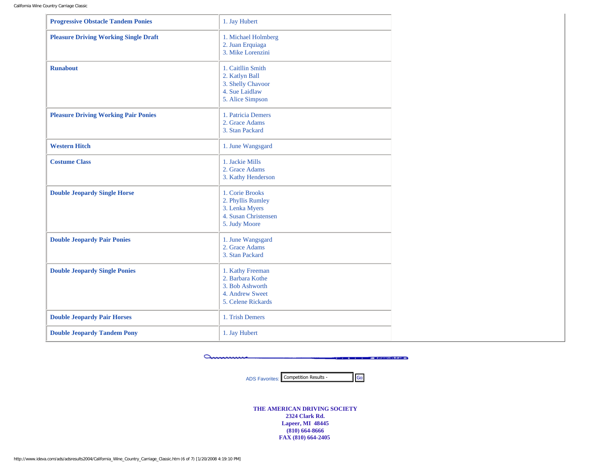| <b>Progressive Obstacle Tandem Ponies</b>    | 1. Jay Hubert                                                                                    |
|----------------------------------------------|--------------------------------------------------------------------------------------------------|
| <b>Pleasure Driving Working Single Draft</b> | 1. Michael Holmberg<br>2. Juan Erquiaga<br>3. Mike Lorenzini                                     |
| <b>Runabout</b>                              | 1. Caitllin Smith<br>2. Katlyn Ball<br>3. Shelly Chavoor<br>4. Sue Laidlaw<br>5. Alice Simpson   |
| <b>Pleasure Driving Working Pair Ponies</b>  | 1. Patricia Demers<br>2. Grace Adams<br>3. Stan Packard                                          |
| <b>Western Hitch</b>                         | 1. June Wangsgard                                                                                |
| <b>Costume Class</b>                         | 1. Jackie Mills<br>2. Grace Adams<br>3. Kathy Henderson                                          |
| <b>Double Jeopardy Single Horse</b>          | 1. Corie Brooks<br>2. Phyllis Rumley<br>3. Lenka Myers<br>4. Susan Christensen<br>5. Judy Moore  |
| <b>Double Jeopardy Pair Ponies</b>           | 1. June Wangsgard<br>2. Grace Adams<br>3. Stan Packard                                           |
| <b>Double Jeopardy Single Ponies</b>         | 1. Kathy Freeman<br>2. Barbara Kothe<br>3. Bob Ashworth<br>4. Andrew Sweet<br>5. Celene Rickards |
| <b>Double Jeopardy Pair Horses</b>           | 1. Trish Demers                                                                                  |
| <b>Double Jeopardy Tandem Pony</b>           | 1. Jay Hubert                                                                                    |

amm **Committee Constitution of MARTIN COM-**

> ADS Favorites: Competition Results - Go

**THE AMERICAN DRIVING SOCIETY 2324 Clark Rd. Lapeer, MI 48445 (810) 664-8666 FAX (810) 664-2405**